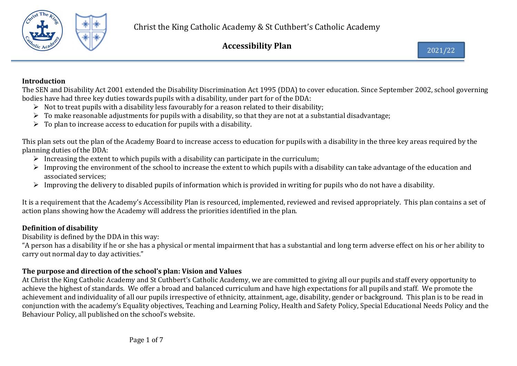

### Introduction

The SEN and Disability Act 2001 extended the Disability Discrimination Act 1995 (DDA) to cover education. Since September 2002, school governing bodies have had three key duties towards pupils with a disability, under part for of the DDA:

- $\triangleright$  Not to treat pupils with a disability less favourably for a reason related to their disability;
- $\triangleright$  To make reasonable adjustments for pupils with a disability, so that they are not at a substantial disadvantage;
- $\triangleright$  To plan to increase access to education for pupils with a disability.

This plan sets out the plan of the Academy Board to increase access to education for pupils with a disability in the three key areas required by the planning duties of the DDA:

- Increasing the extent to which pupils with a disability can participate in the curriculum;
- $\triangleright$  Improving the environment of the school to increase the extent to which pupils with a disability can take advantage of the education and associated services;
- $\triangleright$  Improving the delivery to disabled pupils of information which is provided in writing for pupils who do not have a disability.

It is a requirement that the Academy's Accessibility Plan is resourced, implemented, reviewed and revised appropriately. This plan contains a set of action plans showing how the Academy will address the priorities identified in the plan.

# Definition of disability

Disability is defined by the DDA in this way:

"A person has a disability if he or she has a physical or mental impairment that has a substantial and long term adverse effect on his or her ability to carry out normal day to day activities."

# The purpose and direction of the school's plan: Vision and Values

At Christ the King Catholic Academy and St Cuthbert's Catholic Academy, we are committed to giving all our pupils and staff every opportunity to achieve the highest of standards. We offer a broad and balanced curriculum and have high expectations for all pupils and staff. We promote the achievement and individuality of all our pupils irrespective of ethnicity, attainment, age, disability, gender or background. This plan is to be read in conjunction with the academy's Equality objectives, Teaching and Learning Policy, Health and Safety Policy, Special Educational Needs Policy and the Behaviour Policy, all published on the school's website.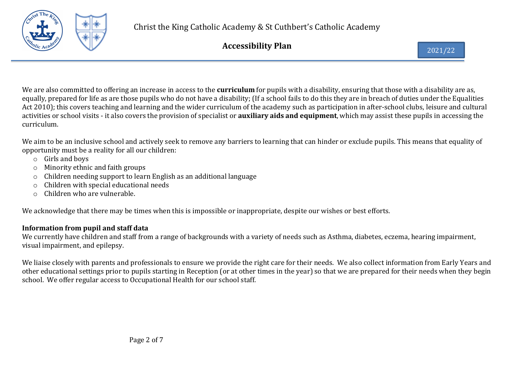

We are also committed to offering an increase in access to the **curriculum** for pupils with a disability, ensuring that those with a disability are as, equally, prepared for life as are those pupils who do not have a disability; (If a school fails to do this they are in breach of duties under the Equalities Act 2010); this covers teaching and learning and the wider curriculum of the academy such as participation in after-school clubs, leisure and cultural activities or school visits - it also covers the provision of specialist or **auxiliary aids and equipment**, which may assist these pupils in accessing the curriculum.

We aim to be an inclusive school and actively seek to remove any barriers to learning that can hinder or exclude pupils. This means that equality of opportunity must be a reality for all our children:

- o Girls and boys
- o Minority ethnic and faith groups
- o Children needing support to learn English as an additional language
- o Children with special educational needs
- o Children who are vulnerable.

We acknowledge that there may be times when this is impossible or inappropriate, despite our wishes or best efforts.

# Information from pupil and staff data

We currently have children and staff from a range of backgrounds with a variety of needs such as Asthma, diabetes, eczema, hearing impairment, visual impairment, and epilepsy.

We liaise closely with parents and professionals to ensure we provide the right care for their needs. We also collect information from Early Years and other educational settings prior to pupils starting in Reception (or at other times in the year) so that we are prepared for their needs when they begin school. We offer regular access to Occupational Health for our school staff.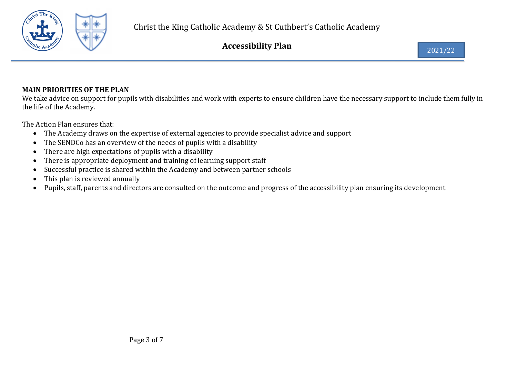

# MAIN PRIORITIES OF THE PLAN

We take advice on support for pupils with disabilities and work with experts to ensure children have the necessary support to include them fully in the life of the Academy.

The Action Plan ensures that:

- The Academy draws on the expertise of external agencies to provide specialist advice and support
- The SENDCo has an overview of the needs of pupils with a disability
- There are high expectations of pupils with a disability
- There is appropriate deployment and training of learning support staff
- Successful practice is shared within the Academy and between partner schools
- This plan is reviewed annually
- Pupils, staff, parents and directors are consulted on the outcome and progress of the accessibility plan ensuring its development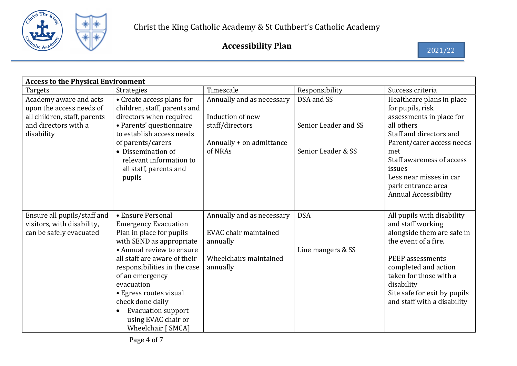

| <b>Access to the Physical Environment</b>                                                                                |                                                                                                                                                                                                                                                                                                                                                                             |                                                                                                         |                                                          |                                                                                                                                                                                                                                                                               |  |
|--------------------------------------------------------------------------------------------------------------------------|-----------------------------------------------------------------------------------------------------------------------------------------------------------------------------------------------------------------------------------------------------------------------------------------------------------------------------------------------------------------------------|---------------------------------------------------------------------------------------------------------|----------------------------------------------------------|-------------------------------------------------------------------------------------------------------------------------------------------------------------------------------------------------------------------------------------------------------------------------------|--|
| Targets                                                                                                                  | Strategies                                                                                                                                                                                                                                                                                                                                                                  | Timescale                                                                                               | Responsibility                                           | Success criteria                                                                                                                                                                                                                                                              |  |
| Academy aware and acts<br>upon the access needs of<br>all children, staff, parents<br>and directors with a<br>disability | • Create access plans for<br>children, staff, parents and<br>directors when required<br>· Parents' questionnaire<br>to establish access needs<br>of parents/carers<br>• Dissemination of<br>relevant information to<br>all staff, parents and<br>pupils                                                                                                                     | Annually and as necessary<br>Induction of new<br>staff/directors<br>Annually + on admittance<br>of NRAs | DSA and SS<br>Senior Leader and SS<br>Senior Leader & SS | Healthcare plans in place<br>for pupils, risk<br>assessments in place for<br>all others<br>Staff and directors and<br>Parent/carer access needs<br>met<br>Staff awareness of access<br>issues<br>Less near misses in car<br>park entrance area<br><b>Annual Accessibility</b> |  |
| Ensure all pupils/staff and<br>visitors, with disability,<br>can be safely evacuated                                     | • Ensure Personal<br><b>Emergency Evacuation</b><br>Plan in place for pupils<br>with SEND as appropriate<br>• Annual review to ensure<br>all staff are aware of their<br>responsibilities in the case<br>of an emergency<br>evacuation<br>• Egress routes visual<br>check done daily<br><b>Evacuation support</b><br>$\bullet$<br>using EVAC chair or<br>Wheelchair [ SMCA] | Annually and as necessary<br>EVAC chair maintained<br>annually<br>Wheelchairs maintained<br>annually    | <b>DSA</b><br>Line mangers & SS                          | All pupils with disability<br>and staff working<br>alongside them are safe in<br>the event of a fire.<br>PEEP assessments<br>completed and action<br>taken for those with a<br>disability<br>Site safe for exit by pupils<br>and staff with a disability                      |  |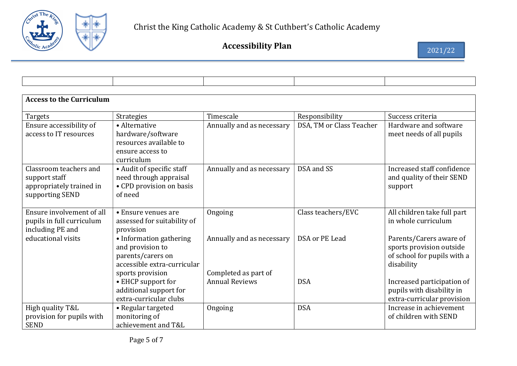

| <b>Access to the Curriculum</b> |                             |                           |                          |                             |  |
|---------------------------------|-----------------------------|---------------------------|--------------------------|-----------------------------|--|
| <b>Targets</b>                  | <b>Strategies</b>           | Timescale                 | Responsibility           | Success criteria            |  |
| Ensure accessibility of         | • Alternative               | Annually and as necessary | DSA, TM or Class Teacher | Hardware and software       |  |
| access to IT resources          | hardware/software           |                           |                          | meet needs of all pupils    |  |
|                                 | resources available to      |                           |                          |                             |  |
|                                 | ensure access to            |                           |                          |                             |  |
|                                 | curriculum                  |                           |                          |                             |  |
| Classroom teachers and          | • Audit of specific staff   | Annually and as necessary | DSA and SS               | Increased staff confidence  |  |
| support staff                   | need through appraisal      |                           |                          | and quality of their SEND   |  |
| appropriately trained in        | • CPD provision on basis    |                           |                          | support                     |  |
| supporting SEND                 | of need                     |                           |                          |                             |  |
|                                 |                             |                           |                          |                             |  |
| Ensure involvement of all       | • Ensure venues are         | Ongoing                   | Class teachers/EVC       | All children take full part |  |
| pupils in full curriculum       | assessed for suitability of |                           |                          | in whole curriculum         |  |
| including PE and                | provision                   |                           |                          |                             |  |
| educational visits              | • Information gathering     | Annually and as necessary | DSA or PE Lead           | Parents/Carers aware of     |  |
|                                 | and provision to            |                           |                          | sports provision outside    |  |
|                                 | parents/carers on           |                           |                          | of school for pupils with a |  |
|                                 | accessible extra-curricular |                           |                          | disability                  |  |
|                                 | sports provision            | Completed as part of      |                          |                             |  |
|                                 | • EHCP support for          | <b>Annual Reviews</b>     | <b>DSA</b>               | Increased participation of  |  |
|                                 | additional support for      |                           |                          | pupils with disability in   |  |
|                                 | extra-curricular clubs      |                           |                          | extra-curricular provision  |  |
| High quality T&L                | • Regular targeted          | Ongoing                   | <b>DSA</b>               | Increase in achievement     |  |
| provision for pupils with       | monitoring of               |                           |                          | of children with SEND       |  |
| <b>SEND</b>                     | achievement and T&L         |                           |                          |                             |  |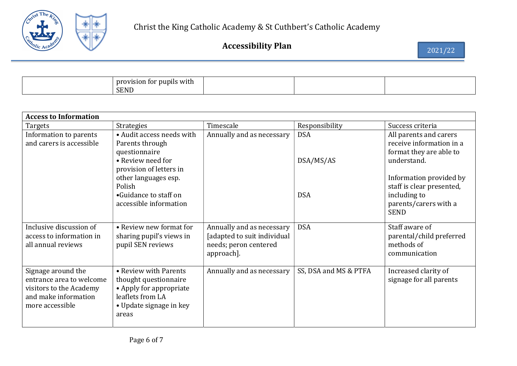

| tor pupils with l<br>provision<br><b>SEND</b> |  |  |  |
|-----------------------------------------------|--|--|--|
|-----------------------------------------------|--|--|--|

| <b>Access to Information</b> |                                 |                             |                       |                                       |  |
|------------------------------|---------------------------------|-----------------------------|-----------------------|---------------------------------------|--|
| Targets                      | Strategies                      | Timescale                   | Responsibility        | Success criteria                      |  |
| Information to parents       | • Audit access needs with       | Annually and as necessary   | <b>DSA</b>            | All parents and carers                |  |
| and carers is accessible     | Parents through                 |                             |                       | receive information in a              |  |
|                              | questionnaire                   |                             |                       | format they are able to               |  |
|                              | • Review need for               |                             | DSA/MS/AS             | understand.                           |  |
|                              | provision of letters in         |                             |                       |                                       |  |
|                              | other languages esp.            |                             |                       | Information provided by               |  |
|                              | Polish<br>•Guidance to staff on |                             | <b>DSA</b>            | staff is clear presented,             |  |
|                              | accessible information          |                             |                       | including to<br>parents/carers with a |  |
|                              |                                 |                             |                       | <b>SEND</b>                           |  |
|                              |                                 |                             |                       |                                       |  |
| Inclusive discussion of      | • Review new format for         | Annually and as necessary   | <b>DSA</b>            | Staff aware of                        |  |
| access to information in     | sharing pupil's views in        | [adapted to suit individual |                       | parental/child preferred              |  |
| all annual reviews           | pupil SEN reviews               | needs; peron centered       |                       | methods of                            |  |
|                              |                                 | approach].                  |                       | communication                         |  |
| Signage around the           | • Review with Parents           | Annually and as necessary   | SS, DSA and MS & PTFA | Increased clarity of                  |  |
| entrance area to welcome     | thought questionnaire           |                             |                       | signage for all parents               |  |
| visitors to the Academy      | • Apply for appropriate         |                             |                       |                                       |  |
| and make information         | leaflets from LA                |                             |                       |                                       |  |
| more accessible              | • Update signage in key         |                             |                       |                                       |  |
|                              | areas                           |                             |                       |                                       |  |
|                              |                                 |                             |                       |                                       |  |